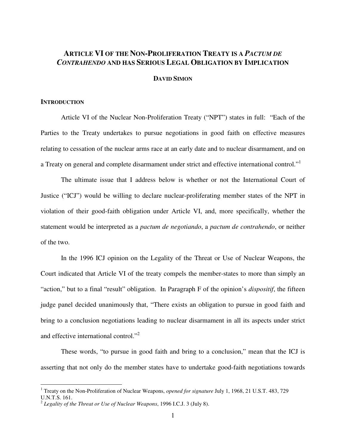# **ARTICLE VI OF THE NON-PROLIFERATION TREATY IS A** *PACTUM DE CONTRAHENDO* **AND HAS SERIOUS LEGAL OBLIGATION BY IMPLICATION**

# **DAVID SIMON**

# **INTRODUCTION**

Article VI of the Nuclear Non-Proliferation Treaty ("NPT") states in full: "Each of the Parties to the Treaty undertakes to pursue negotiations in good faith on effective measures relating to cessation of the nuclear arms race at an early date and to nuclear disarmament, and on a Treaty on general and complete disarmament under strict and effective international control."<sup>1</sup>

The ultimate issue that I address below is whether or not the International Court of Justice ("ICJ") would be willing to declare nuclear-proliferating member states of the NPT in violation of their good-faith obligation under Article VI, and, more specifically, whether the statement would be interpreted as a *pactum de negotiando*, a *pactum de contrahendo*, or neither of the two.

In the 1996 ICJ opinion on the Legality of the Threat or Use of Nuclear Weapons, the Court indicated that Article VI of the treaty compels the member-states to more than simply an "action," but to a final "result" obligation. In Paragraph F of the opinion's *dispositif*, the fifteen judge panel decided unanimously that, "There exists an obligation to pursue in good faith and bring to a conclusion negotiations leading to nuclear disarmament in all its aspects under strict and effective international control."<sup>2</sup>

These words, "to pursue in good faith and bring to a conclusion," mean that the ICJ is asserting that not only do the member states have to undertake good-faith negotiations towards

<sup>1</sup> Treaty on the Non-Proliferation of Nuclear Weapons, *opened for signature* July 1, 1968, 21 U.S.T. 483, 729 U.N.T.S. 161.

<sup>2</sup> *Legality of the Threat or Use of Nuclear Weapons*, 1996 I.C.J. 3 (July 8).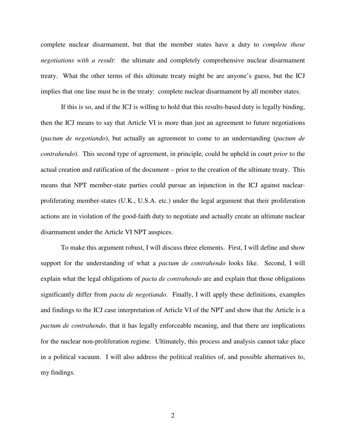complete nuclear disarmament, but that the member states have a duty to *complete those negotiations with a result*: the ultimate and completely comprehensive nuclear disarmament treaty. What the other terms of this ultimate treaty might be are anyone's guess, but the ICJ implies that one line must be in the treaty: complete nuclear disarmament by all member states.

If this is so, and if the ICJ is willing to hold that this results-based duty is legally binding, then the ICJ means to say that Article VI is more than just an agreement to future negotiations (*pactum de negotiando*), but actually an agreement to come to an understanding (*pactum de contrahendo*). This second type of agreement, in principle, could be upheld in court *prior* to the actual creation and ratification of the document – prior to the creation of the ultimate treaty. This means that NPT member-state parties could pursue an injunction in the ICJ against nuclearproliferating member-states (U.K., U.S.A. etc.) under the legal argument that their proliferation actions are in violation of the good-faith duty to negotiate and actually create an ultimate nuclear disarmament under the Article VI NPT auspices.

To make this argument robust, I will discuss three elements. First, I will define and show support for the understanding of what a *pactum de contrahendo* looks like. Second, I will explain what the legal obligations of *pacta de contrahendo* are and explain that those obligations significantly differ from *pacta de negotiando*. Finally, I will apply these definitions, examples and findings to the ICJ case interpretation of Article VI of the NPT and show that the Article is a *pactum de contrahendo*, that it has legally enforceable meaning, and that there are implications for the nuclear non-proliferation regime. Ultimately, this process and analysis cannot take place in a political vacuum. I will also address the political realities of, and possible alternatives to, my findings.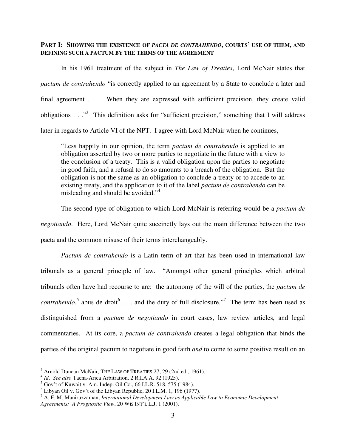# **PART I: SHOWING THE EXISTENCE OF** *PACTA DE CONTRAHENDO***, COURTS' USE OF THEM, AND DEFINING SUCH A PACTUM BY THE TERMS OF THE AGREEMENT**

In his 1961 treatment of the subject in *The Law of Treaties*, Lord McNair states that *pactum de contrahendo* "is correctly applied to an agreement by a State to conclude a later and final agreement . . . When they are expressed with sufficient precision, they create valid obligations . . . "<sup>3</sup> This definition asks for "sufficient precision," something that I will address later in regards to Article VI of the NPT. I agree with Lord McNair when he continues,

"Less happily in our opinion, the term *pactum de contrahendo* is applied to an obligation asserted by two or more parties to negotiate in the future with a view to the conclusion of a treaty. This is a valid obligation upon the parties to negotiate in good faith, and a refusal to do so amounts to a breach of the obligation. But the obligation is not the same as an obligation to conclude a treaty or to accede to an existing treaty, and the application to it of the label *pactum de contrahendo* can be misleading and should be avoided." 4

The second type of obligation to which Lord McNair is referring would be a *pactum de negotiando*. Here, Lord McNair quite succinctly lays out the main difference between the two pacta and the common misuse of their terms interchangeably.

*Pactum de contrahendo* is a Latin term of art that has been used in international law tribunals as a general principle of law. "Amongst other general principles which arbitral tribunals often have had recourse to are: the autonomy of the will of the parties, the *pactum de contrahendo*,<sup>5</sup> abus de droit<sup>6</sup> . . . and the duty of full disclosure."<sup>7</sup> The term has been used as distinguished from a *pactum de negotiando* in court cases, law review articles, and legal commentaries. At its core, a *pactum de contrahendo* creates a legal obligation that binds the parties of the original pactum to negotiate in good faith *and* to come to some positive result on an

<sup>3</sup> Arnold Duncan McNair, THE LAW OF TREATIES 27, 29 (2nd ed., 1961).

<sup>4</sup> *Id*. *See also* Tacna-Arica Arbitration, 2 R.I.A.A. 92 (1925).

 $5$  Gov't of Kuwait v. Am. Indep. Oil Co., 66 I.L.R. 518, 575 (1984).

 $6$  Libyan Oil v. Gov't of the Libyan Republic, 20 I.L.M. 1, 196 (1977).

<sup>7</sup> A. F. M. Maniruzzaman, *International Development Law as Applicable Law to Economic Development Agreements: A Prognostic View*, 20 WIS INT'L L.J. 1 (2001).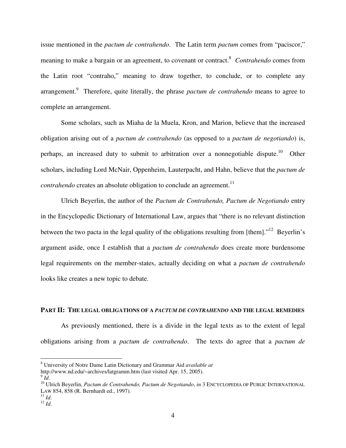issue mentioned in the *pactum de contrahendo*. The Latin term *pactum* comes from "paciscor," meaning to make a bargain or an agreement, to covenant or contract. <sup>8</sup> *Contrahendo* comes from the Latin root "contraho," meaning to draw together, to conclude, or to complete any arrangement. 9 Therefore, quite literally, the phrase *pactum de contrahendo* means to agree to complete an arrangement.

Some scholars, such as Miaha de la Muela, Kron, and Marion, believe that the increased obligation arising out of a *pactum de contrahendo* (as opposed to a *pactum de negotiando*) is, perhaps, an increased duty to submit to arbitration over a nonnegotiable dispute.<sup>10</sup> Other scholars, including Lord McNair, Oppenheim, Lauterpacht, and Hahn, believe that the *pactum de contrahendo* creates an absolute obligation to conclude an agreement.<sup>11</sup>

Ulrich Beyerlin, the author of the *Pactum de Contrahendo, Pactum de Negotiando* entry in the Encyclopedic Dictionary of International Law, argues that "there is no relevant distinction between the two pacta in the legal quality of the obligations resulting from [them]. $1^{12}$  Beyerlin's argument aside, once I establish that a *pactum de contrahendo* does create more burdensome legal requirements on the member-states, actually deciding on what a *pactum de contrahendo* looks like creates a new topic to debate.

#### **PART II: THE LEGAL OBLIGATIONS OF A** *PACTUM DE CONTRAHENDO* **AND THE LEGAL REMEDIES**

As previously mentioned, there is a divide in the legal texts as to the extent of legal obligations arising from a *pactum de contrahendo*. The texts do agree that a *pactum de*

<sup>8</sup> University of Notre Dame Latin Dictionary and Grammar Aid *available at*

http://www.nd.edu/~archives/latgramm.htm (last visited Apr. 15, 2005).

<sup>9</sup> *Id*.

<sup>10</sup> Ulrich Beyerlin, *Pactum de Contrahendo, Pactum de Negotiando*, *in* 3 ENCYCLOPEDIA OF PUBLIC INTERNATIONAL LAW 854, 858 (R. Bernhardt ed., 1997).

<sup>11</sup> *Id*.

<sup>12</sup> *Id*.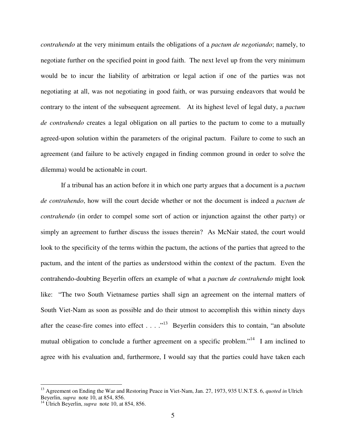*contrahendo* at the very minimum entails the obligations of a *pactum de negotiando*; namely, to negotiate further on the specified point in good faith. The next level up from the very minimum would be to incur the liability of arbitration or legal action if one of the parties was not negotiating at all, was not negotiating in good faith, or was pursuing endeavors that would be contrary to the intent of the subsequent agreement. At its highest level of legal duty, a *pactum de contrahendo* creates a legal obligation on all parties to the pactum to come to a mutually agreed-upon solution within the parameters of the original pactum. Failure to come to such an agreement (and failure to be actively engaged in finding common ground in order to solve the dilemma) would be actionable in court.

If a tribunal has an action before it in which one party argues that a document is a *pactum de contrahendo*, how will the court decide whether or not the document is indeed a *pactum de contrahendo* (in order to compel some sort of action or injunction against the other party) or simply an agreement to further discuss the issues therein? As McNair stated, the court would look to the specificity of the terms within the pactum, the actions of the parties that agreed to the pactum, and the intent of the parties as understood within the context of the pactum. Even the contrahendo-doubting Beyerlin offers an example of what a *pactum de contrahendo* might look like: "The two South Vietnamese parties shall sign an agreement on the internal matters of South Viet-Nam as soon as possible and do their utmost to accomplish this within ninety days after the cease-fire comes into effect  $\dots$   $\cdot$   $\cdot$  Beyerlin considers this to contain, "an absolute mutual obligation to conclude a further agreement on a specific problem."<sup>14</sup> I am inclined to agree with his evaluation and, furthermore, I would say that the parties could have taken each

<sup>13</sup> Agreement on Ending the War and Restoring Peace in Viet-Nam, Jan. 27, 1973, 935 U.N.T.S. 6, *quoted in* Ulrich Beyerlin, *supra* note 10, at 854, 856.

<sup>&</sup>lt;sup>14</sup> Ulrich Beyerlin, *supra* note 10, at 854, 856.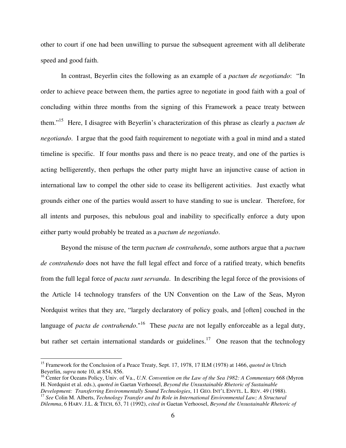other to court if one had been unwilling to pursue the subsequent agreement with all deliberate speed and good faith.

In contrast, Beyerlin cites the following as an example of a *pactum de negotiando*: "In order to achieve peace between them, the parties agree to negotiate in good faith with a goal of concluding within three months from the signing of this Framework a peace treaty between them." <sup>15</sup> Here, I disagree with Beyerlin's characterization of this phrase as clearly a *pactum de negotiando*. I argue that the good faith requirement to negotiate with a goal in mind and a stated timeline is specific. If four months pass and there is no peace treaty, and one of the parties is acting belligerently, then perhaps the other party might have an injunctive cause of action in international law to compel the other side to cease its belligerent activities. Just exactly what grounds either one of the parties would assert to have standing to sue is unclear. Therefore, for all intents and purposes, this nebulous goal and inability to specifically enforce a duty upon either party would probably be treated as a *pactum de negotiando*.

Beyond the misuse of the term *pactum de contrahendo*, some authors argue that a *pactum de contrahendo* does not have the full legal effect and force of a ratified treaty, which benefits from the full legal force of *pacta sunt servanda*. In describing the legal force of the provisions of the Article 14 technology transfers of the UN Convention on the Law of the Seas, Myron Nordquist writes that they are, "largely declaratory of policy goals, and [often] couched in the language of *pacta de contrahendo*." 16 These *pacta* are not legally enforceable as a legal duty, but rather set certain international standards or guidelines.<sup>17</sup> One reason that the technology

<sup>15</sup> Framework for the Conclusion of a Peace Treaty, Sept. 17, 1978, 17 ILM (1978) at 1466, *quoted in* Ulrich Beyerlin, *supra* note 10, at 854, 856.

<sup>16</sup> Center for Oceans Policy, Univ. of Va., *U.N. Convention on the Law of the Sea 1982: A Commentary* 668 (Myron H. Nordquist et al. eds.), *quoted in* Gaetan Verhoosel, *Beyond the Unsustainable Rhetoric of Sustainable*

*Development: Transferring Environmentally Sound Technologies*, 11 GEO. INT'L ENVTL. L. REV. 49 (1988). 17 *See* Colin M. Alberts, *Technology Transfer and Its Role in International Environmental Law; A Structural Dilemma*, 6 HARV. J.L. & TECH, 63, 71 (1992), *cited in* Gaetan Verhoosel, *Beyond the Unsustainable Rhetoric of*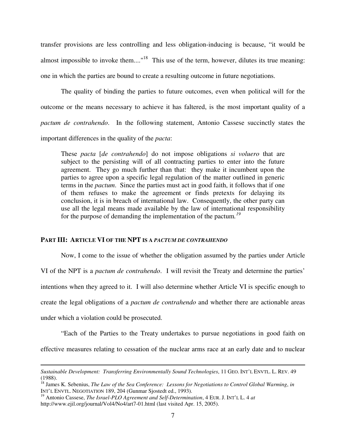transfer provisions are less controlling and less obligation-inducing is because, "it would be almost impossible to invoke them...."<sup>18</sup> This use of the term, however, dilutes its true meaning: one in which the parties are bound to create a resulting outcome in future negotiations.

The quality of binding the parties to future outcomes, even when political will for the outcome or the means necessary to achieve it has faltered, is the most important quality of a *pactum de contrahendo*. In the following statement, Antonio Cassese succinctly states the important differences in the quality of the *pacta*:

These *pacta* [*de contrahendo*] do not impose obligations *si voluero* that are subject to the persisting will of all contracting parties to enter into the future agreement. They go much further than that: they make it incumbent upon the parties to agree upon a specific legal regulation of the matter outlined in generic terms in the *pactum*. Since the parties must act in good faith, it follows that if one of them refuses to make the agreement or finds pretexts for delaying its conclusion, it is in breach of international law. Consequently, the other party can use all the legal means made available by the law of international responsibility for the purpose of demanding the implementation of the pactum*. 19*

# **PART III: ARTICLE VI OF THE NPT IS A** *PACTUM DE CONTRAHENDO*

Now, I come to the issue of whether the obligation assumed by the parties under Article VI of the NPT is a *pactum de contrahendo*. I will revisit the Treaty and determine the parties' intentions when they agreed to it. I will also determine whether Article VI is specific enough to create the legal obligations of a *pactum de contrahendo* and whether there are actionable areas under which a violation could be prosecuted.

"Each of the Parties to the Treaty undertakes to pursue negotiations in good faith on

effective measures relating to cessation of the nuclear arms race at an early date and to nuclear

*Sustainable Development: Transferring Environmentally Sound Technologies*, 11 GEO. INT'L ENVTL. L. REV. 49 (1988).

<sup>18</sup> James K. Sebenius, *The Law of the Sea Conference: Lessons for Negotiations to Control Global Warming*, *in* INT'L ENVTL. NEGOTIATION 189, 204 (Gunmar Sjostedt ed., 1993).

<sup>19</sup> Antonio Cassese, *The Israel-PLO Agreement and Self-Determination*, 4 EUR. J. INT'<sup>L</sup> L. 4 *at* http://www.ejil.org/journal/Vol4/No4/art7-01.html (last visited Apr. 15, 2005).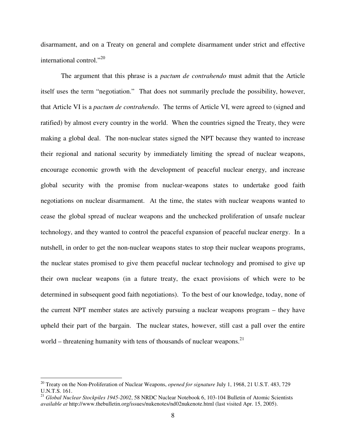disarmament, and on a Treaty on general and complete disarmament under strict and effective international control." 20

The argument that this phrase is a *pactum de contrahendo* must admit that the Article itself uses the term "negotiation." That does not summarily preclude the possibility, however, that Article VI is a *pactum de contrahendo*. The terms of Article VI, were agreed to (signed and ratified) by almost every country in the world. When the countries signed the Treaty, they were making a global deal. The non-nuclear states signed the NPT because they wanted to increase their regional and national security by immediately limiting the spread of nuclear weapons, encourage economic growth with the development of peaceful nuclear energy, and increase global security with the promise from nuclear-weapons states to undertake good faith negotiations on nuclear disarmament. At the time, the states with nuclear weapons wanted to cease the global spread of nuclear weapons and the unchecked proliferation of unsafe nuclear technology, and they wanted to control the peaceful expansion of peaceful nuclear energy. In a nutshell, in order to get the non-nuclear weapons states to stop their nuclear weapons programs, the nuclear states promised to give them peaceful nuclear technology and promised to give up their own nuclear weapons (in a future treaty, the exact provisions of which were to be determined in subsequent good faith negotiations). To the best of our knowledge, today, none of the current NPT member states are actively pursuing a nuclear weapons program – they have upheld their part of the bargain. The nuclear states, however, still cast a pall over the entire world – threatening humanity with tens of thousands of nuclear weapons. $21$ 

<sup>20</sup> Treaty on the Non-Proliferation of Nuclear Weapons, *opened for signature* July 1, 1968, 21 U.S.T. 483, 729 U.N.T.S. 161.

<sup>21</sup> *Global Nuclear Stockpiles 1945-2002*, 58 NRDC Nuclear Notebook 6, 103-104 Bulletin of Atomic Scientists *available at* http://www.thebulletin.org/issues/nukenotes/nd02nukenote.html (last visited Apr. 15, 2005).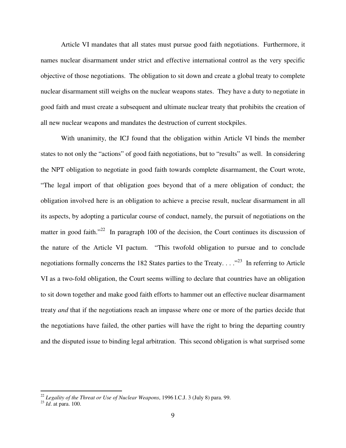Article VI mandates that all states must pursue good faith negotiations. Furthermore, it names nuclear disarmament under strict and effective international control as the very specific objective of those negotiations. The obligation to sit down and create a global treaty to complete nuclear disarmament still weighs on the nuclear weapons states. They have a duty to negotiate in good faith and must create a subsequent and ultimate nuclear treaty that prohibits the creation of all new nuclear weapons and mandates the destruction of current stockpiles.

With unanimity, the ICJ found that the obligation within Article VI binds the member states to not only the "actions" of good faith negotiations, but to "results" as well. In considering the NPT obligation to negotiate in good faith towards complete disarmament, the Court wrote, "The legal import of that obligation goes beyond that of a mere obligation of conduct; the obligation involved here is an obligation to achieve a precise result, nuclear disarmament in all its aspects, by adopting a particular course of conduct, namely, the pursuit of negotiations on the matter in good faith."<sup>22</sup> In paragraph 100 of the decision, the Court continues its discussion of the nature of the Article VI pactum. "This twofold obligation to pursue and to conclude negotiations formally concerns the 182 States parties to the Treaty.  $\ldots$ <sup>23</sup> In referring to Article VI as a two-fold obligation, the Court seems willing to declare that countries have an obligation to sit down together and make good faith efforts to hammer out an effective nuclear disarmament treaty *and* that if the negotiations reach an impasse where one or more of the parties decide that the negotiations have failed, the other parties will have the right to bring the departing country and the disputed issue to binding legal arbitration. This second obligation is what surprised some

<sup>22</sup> *Legality of the Threat or Use of Nuclear Weapons*, 1996 I.C.J. 3 (July 8) para. 99.

<sup>23</sup> *Id*. at para. 100.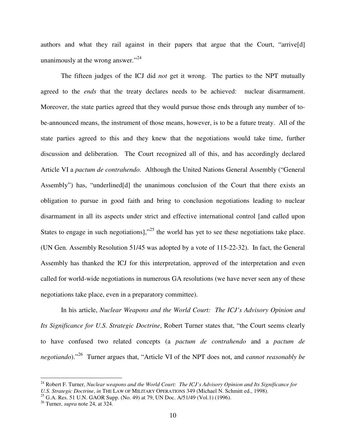authors and what they rail against in their papers that argue that the Court, "arrive[d] unanimously at the wrong answer."<sup>24</sup>

The fifteen judges of the ICJ did *not* get it wrong. The parties to the NPT mutually agreed to the *ends* that the treaty declares needs to be achieved: nuclear disarmament. Moreover, the state parties agreed that they would pursue those ends through any number of tobe-announced means, the instrument of those means, however, is to be a future treaty. All of the state parties agreed to this and they knew that the negotiations would take time, further discussion and deliberation. The Court recognized all of this, and has accordingly declared Article VI a *pactum de contrahendo*. Although the United Nations General Assembly ("General Assembly") has, "underlined[d] the unanimous conclusion of the Court that there exists an obligation to pursue in good faith and bring to conclusion negotiations leading to nuclear disarmament in all its aspects under strict and effective international control [and called upon States to engage in such negotiations], $^{325}$  the world has yet to see these negotiations take place. (UN Gen. Assembly Resolution 51/45 was adopted by a vote of 115-22-32). In fact, the General Assembly has thanked the ICJ for this interpretation, approved of the interpretation and even called for world-wide negotiations in numerous GA resolutions (we have never seen any of these negotiations take place, even in a preparatory committee).

In his article, *Nuclear Weapons and the World Court: The ICJ's Advisory Opinion and Its Significance for U.S. Strategic Doctrine*, Robert Turner states that, "the Court seems clearly to have confused two related concepts (a *pactum de contrahendo* and a *pactum de negotiando*)." 26 Turner argues that, "Article VI of the NPT does not, and *cannot reasonably be*

<sup>24</sup> Robert F. Turner, *Nuclear weapons and the World Court: The ICJ's Advisory Opinion and Its Significance for U.S. Strategic Doctrine*, *in* THE LAW OF MILITARY OPERATIONS 349 (Michael N. Schmitt ed., 1998).

<sup>&</sup>lt;sup>25</sup> G.A. Res. 51 U.N. GAOR Supp. (No. 49) at 79, UN Doc. A/51/49 (Vol.1) (1996).

<sup>26</sup> Turner, *supra* note 24, at 324.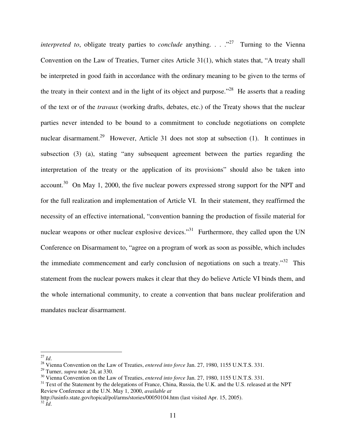*interpreted to*, obligate treaty parties to *conclude* anything. . . .<sup>27</sup> Turning to the Vienna Convention on the Law of Treaties, Turner cites Article 31(1), which states that, "A treaty shall be interpreted in good faith in accordance with the ordinary meaning to be given to the terms of the treaty in their context and in the light of its object and purpose."<sup>28</sup> He asserts that a reading of the text or of the *travaux* (working drafts, debates, etc.) of the Treaty shows that the nuclear parties never intended to be bound to a commitment to conclude negotiations on complete nuclear disarmament.<sup>29</sup> However, Article 31 does not stop at subsection (1). It continues in subsection (3) (a), stating "any subsequent agreement between the parties regarding the interpretation of the treaty or the application of its provisions" should also be taken into account.<sup>30</sup> On May 1, 2000, the five nuclear powers expressed strong support for the NPT and for the full realization and implementation of Article VI. In their statement, they reaffirmed the necessity of an effective international, "convention banning the production of fissile material for nuclear weapons or other nuclear explosive devices."<sup>31</sup> Furthermore, they called upon the UN Conference on Disarmament to, "agree on a program of work as soon as possible, which includes the immediate commencement and early conclusion of negotiations on such a treaty."<sup>32</sup> This statement from the nuclear powers makes it clear that they do believe Article VI binds them, and the whole international community, to create a convention that bans nuclear proliferation and mandates nuclear disarmament.

http://usinfo.state.gov/topical/pol/arms/stories/00050104.htm (last visited Apr. 15, 2005).

<sup>27</sup> *Id*.

<sup>28</sup> Vienna Convention on the Law of Treaties, *entered into force* Jan. 27, 1980, 1155 U.N.T.S. 331.

<sup>29</sup> Turner, *supra* note 24, at 330.

<sup>30</sup> Vienna Convention on the Law of Treaties, *entered into force* Jan. 27, 1980, 1155 U.N.T.S. 331.

<sup>&</sup>lt;sup>31</sup> Text of the Statement by the delegations of France, China, Russia, the U.K. and the U.S. released at the NPT Review Conference at the U.N. May 1, 2000, *available at*

<sup>32</sup> *Id*.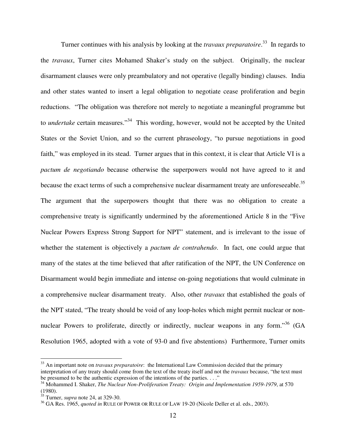Turner continues with his analysis by looking at the *travaux preparatoire*. 33 In regards to the *travaux*, Turner cites Mohamed Shaker's study on the subject. Originally, the nuclear disarmament clauses were only preambulatory and not operative (legally binding) clauses. India and other states wanted to insert a legal obligation to negotiate cease proliferation and begin reductions. "The obligation was therefore not merely to negotiate a meaningful programme but to *undertake* certain measures."<sup>34</sup> This wording, however, would not be accepted by the United States or the Soviet Union, and so the current phraseology, "to pursue negotiations in good faith," was employed in its stead. Turner argues that in this context, it is clear that Article VI is a *pactum de negotiando* because otherwise the superpowers would not have agreed to it and because the exact terms of such a comprehensive nuclear disarmament treaty are unforeseeable.<sup>35</sup> The argument that the superpowers thought that there was no obligation to create a comprehensive treaty is significantly undermined by the aforementioned Article 8 in the "Five Nuclear Powers Express Strong Support for NPT" statement, and is irrelevant to the issue of whether the statement is objectively a *pactum de contrahendo*. In fact, one could argue that many of the states at the time believed that after ratification of the NPT, the UN Conference on Disarmament would begin immediate and intense on-going negotiations that would culminate in a comprehensive nuclear disarmament treaty. Also, other *travaux* that established the goals of the NPT stated, "The treaty should be void of any loop-holes which might permit nuclear or nonnuclear Powers to proliferate, directly or indirectly, nuclear weapons in any form."<sup>36</sup> (GA Resolution 1965, adopted with a vote of 93-0 and five abstentions) Furthermore, Turner omits

<sup>33</sup> An important note on *travaux preparatoire*: the International Law Commission decided that the primary interpretation of any treaty should come from the text of the treaty itself and not the *travaux* because, "the text must be presumed to be the authentic expression of the intentions of the parties.  $\dots$ ."

<sup>34</sup> Mohammed I. Shaker, *The Nuclear Non-Proliferation Treaty: Origin and Implementation 1959-1979*, at 570 (1980).

<sup>35</sup> Turner, *supra* note 24, at 329-30.

<sup>&</sup>lt;sup>36</sup> GA Res. 1965, *quoted in* RULE OF POWER OR RULE OF LAW 19-20 (Nicole Deller et al. eds., 2003).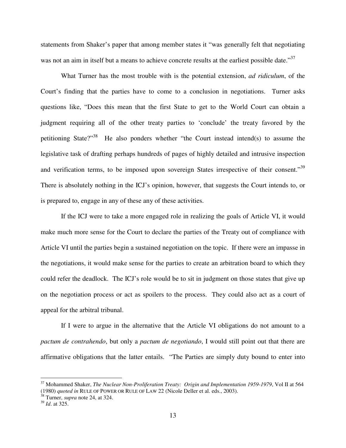statements from Shaker's paper that among member states it "was generally felt that negotiating was not an aim in itself but a means to achieve concrete results at the earliest possible date."<sup>37</sup>

What Turner has the most trouble with is the potential extension, *ad ridiculum*, of the Court's finding that the parties have to come to a conclusion in negotiations. Turner asks questions like, "Does this mean that the first State to get to the World Court can obtain a judgment requiring all of the other treaty parties to 'conclude' the treaty favored by the petitioning State?"<sup>38</sup> He also ponders whether "the Court instead intend(s) to assume the legislative task of drafting perhaps hundreds of pages of highly detailed and intrusive inspection and verification terms, to be imposed upon sovereign States irrespective of their consent."<sup>39</sup> There is absolutely nothing in the ICJ's opinion, however, that suggests the Court intends to, or is prepared to, engage in any of these any of these activities.

If the ICJ were to take a more engaged role in realizing the goals of Article VI, it would make much more sense for the Court to declare the parties of the Treaty out of compliance with Article VI until the parties begin a sustained negotiation on the topic. If there were an impasse in the negotiations, it would make sense for the parties to create an arbitration board to which they could refer the deadlock. The ICJ's role would be to sit in judgment on those states that give up on the negotiation process or act as spoilers to the process. They could also act as a court of appeal for the arbitral tribunal.

If I were to argue in the alternative that the Article VI obligations do not amount to a *pactum de contrahendo*, but only a *pactum de negotiando*, I would still point out that there are affirmative obligations that the latter entails. "The Parties are simply duty bound to enter into

<sup>37</sup> Mohammed Shaker, *The Nuclear Non-Proliferation Treaty: Origin and Implementation 1959-1979*, Vol II at 564 (1980) *quoted in* RULE OF POWER OR RULE OF LAW 22 (Nicole Deller et al. eds., 2003).

<sup>38</sup> Turner, *supra* note 24, at 324.

<sup>39</sup> *Id*. at 325.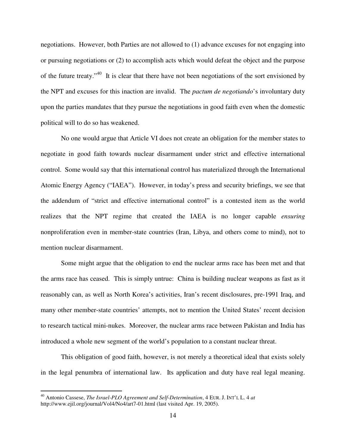negotiations. However, both Parties are not allowed to (1) advance excuses for not engaging into or pursuing negotiations or (2) to accomplish acts which would defeat the object and the purpose of the future treaty."<sup>40</sup> It is clear that there have not been negotiations of the sort envisioned by the NPT and excuses for this inaction are invalid. The *pactum de negotiando*'s involuntary duty upon the parties mandates that they pursue the negotiations in good faith even when the domestic political will to do so has weakened.

No one would argue that Article VI does not create an obligation for the member states to negotiate in good faith towards nuclear disarmament under strict and effective international control. Some would say that this international control has materialized through the International Atomic Energy Agency ("IAEA"). However, in today's press and security briefings, we see that the addendum of "strict and effective international control" is a contested item as the world realizes that the NPT regime that created the IAEA is no longer capable *ensuring* nonproliferation even in member-state countries (Iran, Libya, and others come to mind), not to mention nuclear disarmament.

Some might argue that the obligation to end the nuclear arms race has been met and that the arms race has ceased. This is simply untrue: China is building nuclear weapons as fast as it reasonably can, as well as North Korea's activities, Iran's recent disclosures, pre-1991 Iraq, and many other member-state countries' attempts, not to mention the United States' recent decision to research tactical mini-nukes. Moreover, the nuclear arms race between Pakistan and India has introduced a whole new segment of the world's population to a constant nuclear threat.

This obligation of good faith, however, is not merely a theoretical ideal that exists solely in the legal penumbra of international law. Its application and duty have real legal meaning.

<sup>40</sup> Antonio Cassese, *The Israel-PLO Agreement and Self-Determination*, 4 EUR. J. INT'<sup>L</sup> L. 4 *at* http://www.ejil.org/journal/Vol4/No4/art7-01.html (last visited Apr. 19, 2005).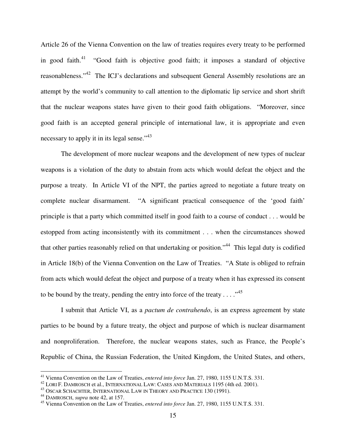Article 26 of the Vienna Convention on the law of treaties requires every treaty to be performed in good faith.<sup>41</sup> "Good faith is objective good faith; it imposes a standard of objective reasonableness."<sup>42</sup> The ICJ's declarations and subsequent General Assembly resolutions are an attempt by the world's community to call attention to the diplomatic lip service and short shrift that the nuclear weapons states have given to their good faith obligations. "Moreover, since good faith is an accepted general principle of international law, it is appropriate and even necessary to apply it in its legal sense."<sup>43</sup>

The development of more nuclear weapons and the development of new types of nuclear weapons is a violation of the duty to abstain from acts which would defeat the object and the purpose a treaty. In Article VI of the NPT, the parties agreed to negotiate a future treaty on complete nuclear disarmament. "A significant practical consequence of the 'good faith' principle is that a party which committed itself in good faith to a course of conduct . . . would be estopped from acting inconsistently with its commitment . . . when the circumstances showed that other parties reasonably relied on that undertaking or position."<sup>44</sup> This legal duty is codified in Article 18(b) of the Vienna Convention on the Law of Treaties. "A State is obliged to refrain from acts which would defeat the object and purpose of a treaty when it has expressed its consent to be bound by the treaty, pending the entry into force of the treaty  $\dots$ ."<sup>45</sup>

I submit that Article VI, as a *pactum de contrahendo*, is an express agreement by state parties to be bound by a future treaty, the object and purpose of which is nuclear disarmament and nonproliferation. Therefore, the nuclear weapons states, such as France, the People's Republic of China, the Russian Federation, the United Kingdom, the United States, and others,

<sup>41</sup> Vienna Convention on the Law of Treaties, *entered into force* Jan. 27, 1980, 1155 U.N.T.S. 331.

 $^{42}$  LORI F. DAMROSCH et al., INTERNATIONAL LAW: CASES AND MATERIALS 1195 (4th ed. 2001).

<sup>&</sup>lt;sup>43</sup> OSCAR SCHACHTER, INTERNATIONAL LAW IN THEORY AND PRACTICE 130 (1991).

<sup>44</sup> DAMROSCH, *supra* note 42, at 157.

<sup>45</sup> Vienna Convention on the Law of Treaties, *entered into force* Jan. 27, 1980, 1155 U.N.T.S. 331.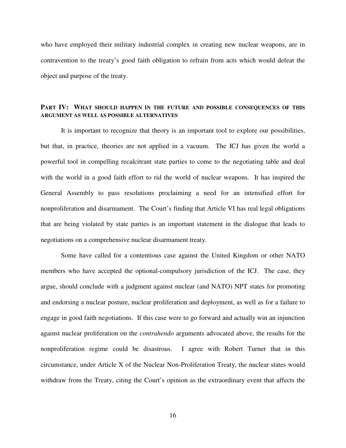who have employed their military industrial complex in creating new nuclear weapons, are in contravention to the treaty's good faith obligation to refrain from acts which would defeat the object and purpose of the treaty.

# **PART IV: WHAT SHOULD HAPPEN IN THE FUTURE AND POSSIBLE CONSEQUENCES OF THIS ARGUMENT AS WELL AS POSSIBLE ALTERNATIVES**

It is important to recognize that theory is an important tool to explore our possibilities, but that, in practice, theories are not applied in a vacuum. The ICJ has given the world a powerful tool in compelling recalcitrant state parties to come to the negotiating table and deal with the world in a good faith effort to rid the world of nuclear weapons. It has inspired the General Assembly to pass resolutions proclaiming a need for an intensified effort for nonproliferation and disarmament. The Court's finding that Article VI has real legal obligations that are being violated by state parties is an important statement in the dialogue that leads to negotiations on a comprehensive nuclear disarmament treaty.

Some have called for a contentious case against the United Kingdom or other NATO members who have accepted the optional-compulsory jurisdiction of the ICJ. The case, they argue, should conclude with a judgment against nuclear (and NATO) NPT states for promoting and endorsing a nuclear posture, nuclear proliferation and deployment, as well as for a failure to engage in good faith negotiations. If this case were to go forward and actually win an injunction against nuclear proliferation on the *contrahendo* arguments advocated above, the results for the nonproliferation regime could be disastrous. I agree with Robert Turner that in this circumstance, under Article X of the Nuclear Non-Proliferation Treaty, the nuclear states would withdraw from the Treaty, citing the Court's opinion as the extraordinary event that affects the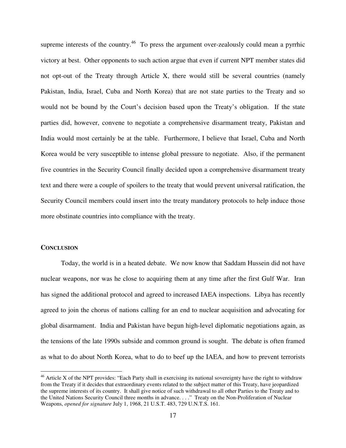supreme interests of the country.<sup>46</sup> To press the argument over-zealously could mean a pyrrhic victory at best. Other opponents to such action argue that even if current NPT member states did not opt-out of the Treaty through Article X, there would still be several countries (namely Pakistan, India, Israel, Cuba and North Korea) that are not state parties to the Treaty and so would not be bound by the Court's decision based upon the Treaty's obligation. If the state parties did, however, convene to negotiate a comprehensive disarmament treaty, Pakistan and India would most certainly be at the table. Furthermore, I believe that Israel, Cuba and North Korea would be very susceptible to intense global pressure to negotiate. Also, if the permanent five countries in the Security Council finally decided upon a comprehensive disarmament treaty text and there were a couple of spoilers to the treaty that would prevent universal ratification, the Security Council members could insert into the treaty mandatory protocols to help induce those more obstinate countries into compliance with the treaty.

### **CONCLUSION**

Today, the world is in a heated debate. We now know that Saddam Hussein did not have nuclear weapons, nor was he close to acquiring them at any time after the first Gulf War. Iran has signed the additional protocol and agreed to increased IAEA inspections. Libya has recently agreed to join the chorus of nations calling for an end to nuclear acquisition and advocating for global disarmament. India and Pakistan have begun high-level diplomatic negotiations again, as the tensions of the late 1990s subside and common ground is sought. The debate is often framed as what to do about North Korea, what to do to beef up the IAEA, and how to prevent terrorists

 $46$  Article X of the NPT provides: "Each Party shall in exercising its national sovereignty have the right to withdraw from the Treaty if it decides that extraordinary events related to the subject matter of this Treaty, have jeopardized the supreme interests of its country. It shall give notice of such withdrawal to all other Parties to the Treaty and to the United Nations Security Council three months in advance. . . ." Treaty on the Non-Proliferation of Nuclear Weapons, *opened for signature* July 1, 1968, 21 U.S.T. 483, 729 U.N.T.S. 161.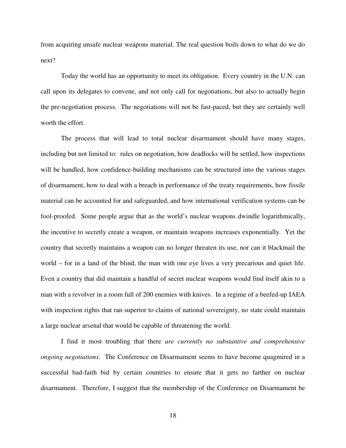from acquiring unsafe nuclear weapons material. The real question boils down to what do we do next?

Today the world has an opportunity to meet its obligation. Every country in the U.N. can call upon its delegates to convene, and not only call for negotiations, but also to actually begin the pre-negotiation process. The negotiations will not be fast-paced, but they are certainly well worth the effort.

The process that will lead to total nuclear disarmament should have many stages, including but not limited to: rules on negotiation, how deadlocks will be settled, how inspections will be handled, how confidence-building mechanisms can be structured into the various stages of disarmament, how to deal with a breach in performance of the treaty requirements, how fissile material can be accounted for and safeguarded, and how international verification systems can be fool-proofed. Some people argue that as the world's nuclear weapons dwindle logarithmically, the incentive to secretly create a weapon, or maintain weapons increases exponentially. Yet the country that secretly maintains a weapon can no longer threaten its use, nor can it blackmail the world – for in a land of the blind, the man with one eye lives a very precarious and quiet life. Even a country that did maintain a handful of secret nuclear weapons would find itself akin to a man with a revolver in a room full of 200 enemies with knives. In a regime of a beefed-up IAEA with inspection rights that ran superior to claims of national sovereignty, no state could maintain a large nuclear arsenal that would be capable of threatening the world.

I find it most troubling that there *are currently no substantive and comprehensive ongoing negotiations*. The Conference on Disarmament seems to have become quagmired in a successful bad-faith bid by certain countries to ensure that it gets no farther on nuclear disarmament. Therefore, I suggest that the membership of the Conference on Disarmament be